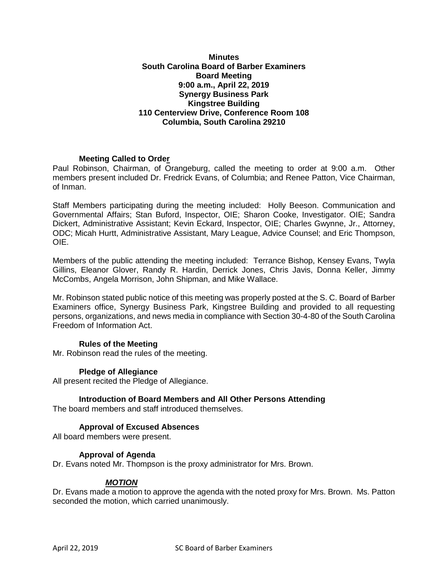## **Minutes South Carolina Board of Barber Examiners Board Meeting 9:00 a.m., April 22, 2019 Synergy Business Park Kingstree Building 110 Centerview Drive, Conference Room 108 Columbia, South Carolina 29210**

# **Meeting Called to Order**

Paul Robinson, Chairman, of Orangeburg, called the meeting to order at 9:00 a.m. Other members present included Dr. Fredrick Evans, of Columbia; and Renee Patton, Vice Chairman, of Inman.

Staff Members participating during the meeting included: Holly Beeson. Communication and Governmental Affairs; Stan Buford, Inspector, OIE; Sharon Cooke, Investigator. OIE; Sandra Dickert, Administrative Assistant; Kevin Eckard, Inspector, OIE; Charles Gwynne, Jr., Attorney, ODC; Micah Hurtt, Administrative Assistant, Mary League, Advice Counsel; and Eric Thompson, OIE.

Members of the public attending the meeting included: Terrance Bishop, Kensey Evans, Twyla Gillins, Eleanor Glover, Randy R. Hardin, Derrick Jones, Chris Javis, Donna Keller, Jimmy McCombs, Angela Morrison, John Shipman, and Mike Wallace.

Mr. Robinson stated public notice of this meeting was properly posted at the S. C. Board of Barber Examiners office, Synergy Business Park, Kingstree Building and provided to all requesting persons, organizations, and news media in compliance with Section 30-4-80 of the South Carolina Freedom of Information Act.

# **Rules of the Meeting**

Mr. Robinson read the rules of the meeting.

# **Pledge of Allegiance**

All present recited the Pledge of Allegiance.

# **Introduction of Board Members and All Other Persons Attending**

The board members and staff introduced themselves.

# **Approval of Excused Absences**

All board members were present.

### **Approval of Agenda**

Dr. Evans noted Mr. Thompson is the proxy administrator for Mrs. Brown.

# *MOTION*

Dr. Evans made a motion to approve the agenda with the noted proxy for Mrs. Brown. Ms. Patton seconded the motion, which carried unanimously.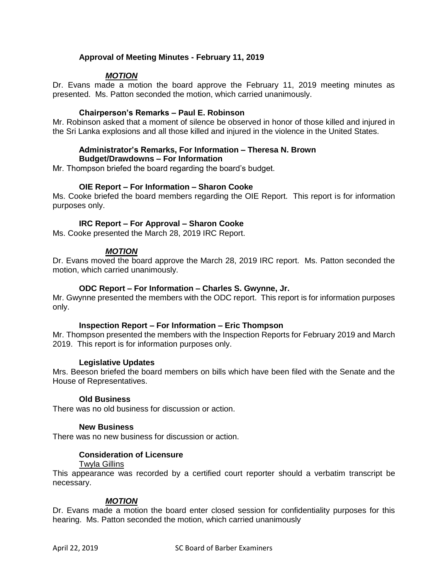# **Approval of Meeting Minutes - February 11, 2019**

# *MOTION*

Dr. Evans made a motion the board approve the February 11, 2019 meeting minutes as presented. Ms. Patton seconded the motion, which carried unanimously.

## **Chairperson's Remarks – Paul E. Robinson**

Mr. Robinson asked that a moment of silence be observed in honor of those killed and injured in the Sri Lanka explosions and all those killed and injured in the violence in the United States.

## **Administrator's Remarks, For Information – Theresa N. Brown Budget/Drawdowns – For Information**

Mr. Thompson briefed the board regarding the board's budget.

## **OIE Report – For Information – Sharon Cooke**

Ms. Cooke briefed the board members regarding the OIE Report. This report is for information purposes only.

## **IRC Report – For Approval – Sharon Cooke**

Ms. Cooke presented the March 28, 2019 IRC Report.

## *MOTION*

Dr. Evans moved the board approve the March 28, 2019 IRC report. Ms. Patton seconded the motion, which carried unanimously.

### **ODC Report – For Information – Charles S. Gwynne, Jr.**

Mr. Gwynne presented the members with the ODC report. This report is for information purposes only.

### **Inspection Report – For Information – Eric Thompson**

Mr. Thompson presented the members with the Inspection Reports for February 2019 and March 2019. This report is for information purposes only.

### **Legislative Updates**

Mrs. Beeson briefed the board members on bills which have been filed with the Senate and the House of Representatives.

### **Old Business**

There was no old business for discussion or action.

### **New Business**

There was no new business for discussion or action.

## **Consideration of Licensure**

### Twyla Gillins

This appearance was recorded by a certified court reporter should a verbatim transcript be necessary.

### *MOTION*

Dr. Evans made a motion the board enter closed session for confidentiality purposes for this hearing. Ms. Patton seconded the motion, which carried unanimously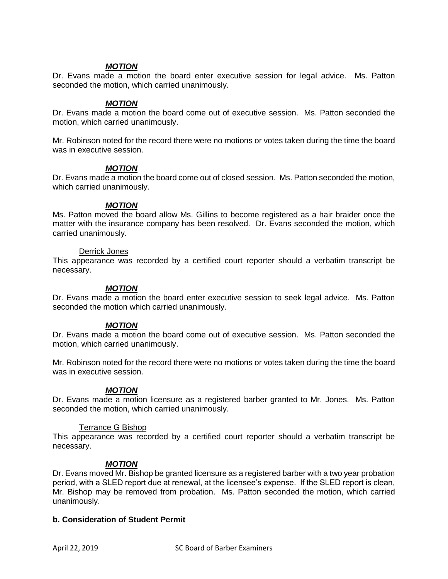## *MOTION*

Dr. Evans made a motion the board enter executive session for legal advice. Ms. Patton seconded the motion, which carried unanimously.

### *MOTION*

Dr. Evans made a motion the board come out of executive session. Ms. Patton seconded the motion, which carried unanimously.

Mr. Robinson noted for the record there were no motions or votes taken during the time the board was in executive session.

### *MOTION*

Dr. Evans made a motion the board come out of closed session. Ms. Patton seconded the motion, which carried unanimously.

### *MOTION*

Ms. Patton moved the board allow Ms. Gillins to become registered as a hair braider once the matter with the insurance company has been resolved. Dr. Evans seconded the motion, which carried unanimously.

### Derrick Jones

This appearance was recorded by a certified court reporter should a verbatim transcript be necessary.

## *MOTION*

Dr. Evans made a motion the board enter executive session to seek legal advice. Ms. Patton seconded the motion which carried unanimously.

# *MOTION*

Dr. Evans made a motion the board come out of executive session. Ms. Patton seconded the motion, which carried unanimously.

Mr. Robinson noted for the record there were no motions or votes taken during the time the board was in executive session.

# *MOTION*

Dr. Evans made a motion licensure as a registered barber granted to Mr. Jones. Ms. Patton seconded the motion, which carried unanimously.

### Terrance G Bishop

This appearance was recorded by a certified court reporter should a verbatim transcript be necessary.

# *MOTION*

Dr. Evans moved Mr. Bishop be granted licensure as a registered barber with a two year probation period, with a SLED report due at renewal, at the licensee's expense. If the SLED report is clean, Mr. Bishop may be removed from probation. Ms. Patton seconded the motion, which carried unanimously.

### **b. Consideration of Student Permit**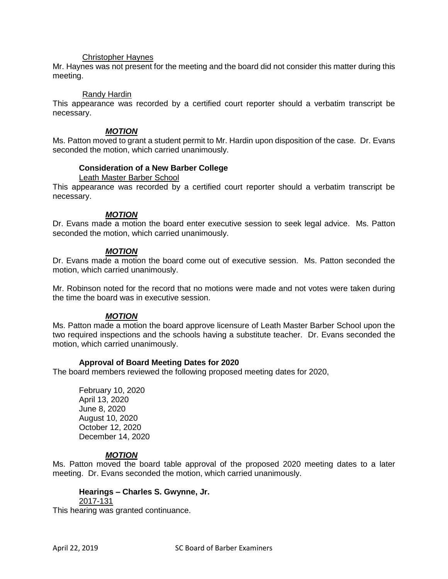### Christopher Haynes

Mr. Haynes was not present for the meeting and the board did not consider this matter during this meeting.

#### Randy Hardin

This appearance was recorded by a certified court reporter should a verbatim transcript be necessary.

### *MOTION*

Ms. Patton moved to grant a student permit to Mr. Hardin upon disposition of the case. Dr. Evans seconded the motion, which carried unanimously.

## **Consideration of a New Barber College**

Leath Master Barber School

This appearance was recorded by a certified court reporter should a verbatim transcript be necessary.

### *MOTION*

Dr. Evans made a motion the board enter executive session to seek legal advice. Ms. Patton seconded the motion, which carried unanimously.

### *MOTION*

Dr. Evans made a motion the board come out of executive session. Ms. Patton seconded the motion, which carried unanimously.

Mr. Robinson noted for the record that no motions were made and not votes were taken during the time the board was in executive session.

### *MOTION*

Ms. Patton made a motion the board approve licensure of Leath Master Barber School upon the two required inspections and the schools having a substitute teacher. Dr. Evans seconded the motion, which carried unanimously.

### **Approval of Board Meeting Dates for 2020**

The board members reviewed the following proposed meeting dates for 2020,

February 10, 2020 April 13, 2020 June 8, 2020 August 10, 2020 October 12, 2020 December 14, 2020

### *MOTION*

Ms. Patton moved the board table approval of the proposed 2020 meeting dates to a later meeting. Dr. Evans seconded the motion, which carried unanimously.

### **Hearings – Charles S. Gwynne, Jr.**

#### 2017-131

This hearing was granted continuance.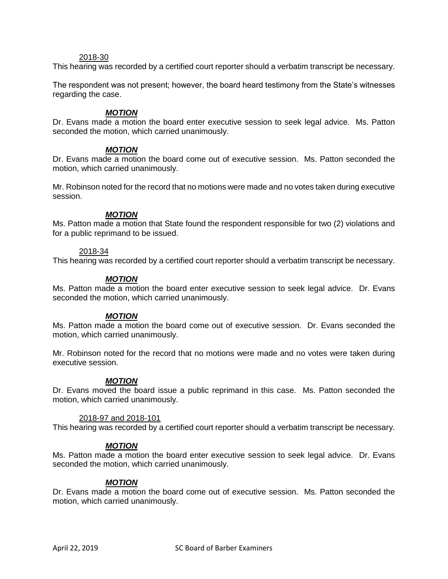### 2018-30

This hearing was recorded by a certified court reporter should a verbatim transcript be necessary.

The respondent was not present; however, the board heard testimony from the State's witnesses regarding the case.

## *MOTION*

Dr. Evans made a motion the board enter executive session to seek legal advice. Ms. Patton seconded the motion, which carried unanimously.

# *MOTION*

Dr. Evans made a motion the board come out of executive session. Ms. Patton seconded the motion, which carried unanimously.

Mr. Robinson noted for the record that no motions were made and no votes taken during executive session.

## *MOTION*

Ms. Patton made a motion that State found the respondent responsible for two (2) violations and for a public reprimand to be issued.

### 2018-34

This hearing was recorded by a certified court reporter should a verbatim transcript be necessary.

### *MOTION*

Ms. Patton made a motion the board enter executive session to seek legal advice. Dr. Evans seconded the motion, which carried unanimously.

### *MOTION*

Ms. Patton made a motion the board come out of executive session. Dr. Evans seconded the motion, which carried unanimously.

Mr. Robinson noted for the record that no motions were made and no votes were taken during executive session.

### *MOTION*

Dr. Evans moved the board issue a public reprimand in this case. Ms. Patton seconded the motion, which carried unanimously.

### 2018-97 and 2018-101

This hearing was recorded by a certified court reporter should a verbatim transcript be necessary.

### *MOTION*

Ms. Patton made a motion the board enter executive session to seek legal advice. Dr. Evans seconded the motion, which carried unanimously.

### *MOTION*

Dr. Evans made a motion the board come out of executive session. Ms. Patton seconded the motion, which carried unanimously.